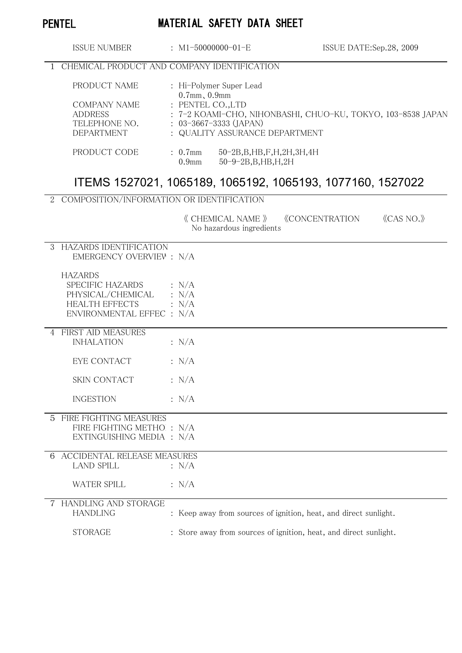# PENTEL MATERIAL SAFETY DATA SHEET

| ISSUE NUMBER      |                                               |                                                                                  | $\pm$ M1-50000000-01-E                                           | ISSUE DATE:Sep.28, 2009 |  |  |  |
|-------------------|-----------------------------------------------|----------------------------------------------------------------------------------|------------------------------------------------------------------|-------------------------|--|--|--|
|                   | 1 CHEMICAL PRODUCT AND COMPANY IDENTIFICATION |                                                                                  |                                                                  |                         |  |  |  |
| PRODUCT NAME      |                                               | : Hi-Polymer Super Lead<br>$0.7$ mm, $0.9$ mm                                    |                                                                  |                         |  |  |  |
| COMPANY NAME      |                                               | : PENTEL CO., LTD<br>: 7–2 KOAMI–CHO, NIHONBASHI, CHUO–KU, TOKYO, 103–8538 JAPAN |                                                                  |                         |  |  |  |
| <b>ADDRESS</b>    |                                               |                                                                                  |                                                                  |                         |  |  |  |
| TELEPHONE NO.     |                                               | $: 03 - 3667 - 3333$ (JAPAN)                                                     |                                                                  |                         |  |  |  |
| <b>DEPARTMENT</b> |                                               |                                                                                  | : QUALITY ASSURANCE DEPARTMENT                                   |                         |  |  |  |
| PRODUCT CODE      |                                               | $: 0.7$ mm<br>0.9 <sub>mm</sub>                                                  | 50-2B, B, HB, F, H, 2H, 3H, 4H<br>$50 - 9 - 2B$ , B, HB, H, $2H$ |                         |  |  |  |

# ITEMS 1527021, 1065189, 1065192, 1065193, 1077160, 1527022

## 2 COMPOSITION/INFORMATION OR IDENTIFICATION

 《 CHEMICAL NAME 》 《CONCENTRATION》 《CAS NO.》 No hazardous ingredients

| $\mathcal{S}$ | HAZARDS IDENTIFICATION<br>EMERGENCY OVERVIEW: N/A<br><b>HAZARDS</b>                         |                                                                   |
|---------------|---------------------------------------------------------------------------------------------|-------------------------------------------------------------------|
|               | SPECIFIC HAZARDS<br>PHYSICAL/CHEMICAL<br><b>HEALTH EFFECTS</b><br>ENVIRONMENTAL EFFEC : N/A | $\therefore$ N/A<br>$\therefore$ N/A<br>$\therefore$ N/A          |
|               | 4 FIRST AID MEASURES<br><b>INHALATION</b>                                                   | : N/A                                                             |
|               | EYE CONTACT                                                                                 | $\therefore$ N/A                                                  |
|               | SKIN CONTACT                                                                                | $\therefore$ N/A                                                  |
|               | <b>INGESTION</b>                                                                            | $\therefore$ N/A                                                  |
|               | 5 FIRE FIGHTING MEASURES<br>FIRE FIGHTING METHO : N/A<br>EXTINGUISHING MEDIA : N/A          |                                                                   |
| 6             | <b>ACCIDENTAL RELEASE MEASURES</b><br><b>LAND SPILL</b>                                     | $\therefore$ N/A                                                  |
|               | <b>WATER SPILL</b>                                                                          | $\therefore$ N/A                                                  |
|               | <b>HANDLING AND STORAGE</b><br><b>HANDLING</b>                                              | : Keep away from sources of ignition, heat, and direct sunlight.  |
|               | <b>STORAGE</b>                                                                              | : Store away from sources of ignition, heat, and direct sunlight. |